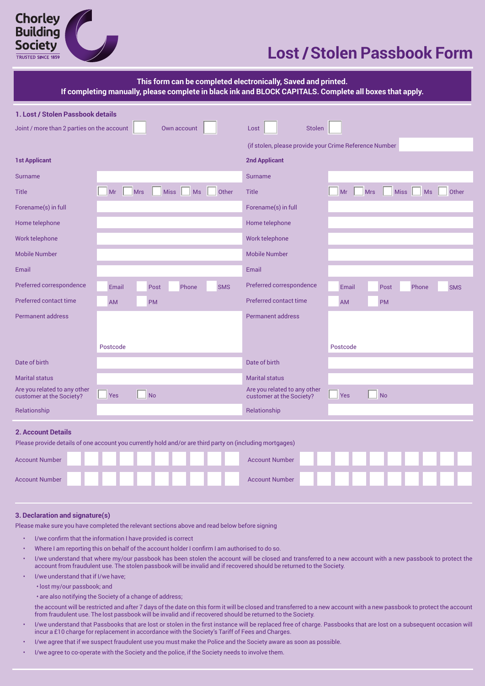

## **Lost /Stolen Passbook Form**

| This form can be completed electronically, Saved and printed.<br>If completing manually, please complete in black ink and BLOCK CAPITALS. Complete all boxes that apply. |                                                                                                          |                                                                                     |  |  |
|--------------------------------------------------------------------------------------------------------------------------------------------------------------------------|----------------------------------------------------------------------------------------------------------|-------------------------------------------------------------------------------------|--|--|
| 1. Lost / Stolen Passbook details                                                                                                                                        |                                                                                                          |                                                                                     |  |  |
| Joint / more than 2 parties on the account                                                                                                                               | Own account                                                                                              | <b>Stolen</b><br>Lost                                                               |  |  |
|                                                                                                                                                                          |                                                                                                          | (if stolen, please provide your Crime Reference Number                              |  |  |
| <b>1st Applicant</b>                                                                                                                                                     |                                                                                                          | <b>2nd Applicant</b>                                                                |  |  |
| <b>Surname</b>                                                                                                                                                           |                                                                                                          | <b>Surname</b>                                                                      |  |  |
| <b>Title</b>                                                                                                                                                             | Other<br>Mr<br><b>Mrs</b><br><b>Miss</b><br>Ms                                                           | <b>Title</b><br>Other<br>Mr<br><b>Mrs</b><br><b>Miss</b><br><b>Ms</b>               |  |  |
| Forename(s) in full                                                                                                                                                      |                                                                                                          | Forename(s) in full                                                                 |  |  |
| Home telephone                                                                                                                                                           |                                                                                                          | Home telephone                                                                      |  |  |
| Work telephone                                                                                                                                                           |                                                                                                          | Work telephone                                                                      |  |  |
| <b>Mobile Number</b>                                                                                                                                                     |                                                                                                          | <b>Mobile Number</b>                                                                |  |  |
| Email                                                                                                                                                                    |                                                                                                          | Email                                                                               |  |  |
| Preferred correspondence                                                                                                                                                 | Post<br>Phone<br><b>SMS</b><br>Email                                                                     | Preferred correspondence<br>Post<br>Phone<br>Email<br><b>SMS</b>                    |  |  |
| Preferred contact time                                                                                                                                                   | AM<br><b>PM</b>                                                                                          | Preferred contact time<br><b>AM</b><br><b>PM</b>                                    |  |  |
| <b>Permanent address</b>                                                                                                                                                 |                                                                                                          | <b>Permanent address</b>                                                            |  |  |
|                                                                                                                                                                          |                                                                                                          |                                                                                     |  |  |
|                                                                                                                                                                          | Postcode                                                                                                 | Postcode                                                                            |  |  |
| Date of birth                                                                                                                                                            |                                                                                                          | Date of birth                                                                       |  |  |
| <b>Marital status</b>                                                                                                                                                    |                                                                                                          | <b>Marital status</b>                                                               |  |  |
| Are you related to any other<br>customer at the Society?                                                                                                                 | N <sub>O</sub><br><b>Yes</b>                                                                             | Are you related to any other<br><b>No</b><br><b>Yes</b><br>customer at the Society? |  |  |
| Relationship                                                                                                                                                             |                                                                                                          | Relationship                                                                        |  |  |
| <b>2. Account Details</b>                                                                                                                                                | Please provide details of one account you currently hold and/or are third party on (including mortgages) |                                                                                     |  |  |
| <b>Account Number</b>                                                                                                                                                    |                                                                                                          | <b>Account Number</b>                                                               |  |  |
| <b>Account Number</b>                                                                                                                                                    |                                                                                                          | <b>Account Number</b>                                                               |  |  |

## **3. Declaration and signature(s)**

Please make sure you have completed the relevant sections above and read below before signing

- I/we confirm that the information I have provided is correct
- Where I am reporting this on behalf of the account holder I confirm I am authorised to do so.
- I/we understand that where my/our passbook has been stolen the account will be closed and transferred to a new account with a new passbook to protect the account from fraudulent use. The stolen passbook will be invalid and if recovered should be returned to the Society.
- I/we understand that if I/we have;
	- lost my/our passbook; and
	- are also notifying the Society of a change of address;

the account will be restricted and after 7 days of the date on this form it will be closed and transferred to a new account with a new passbook to protect the account from fraudulent use. The lost passbook will be invalid and if recovered should be returned to the Society.

- I/we understand that Passbooks that are lost or stolen in the first instance will be replaced free of charge. Passbooks that are lost on a subsequent occasion will incur a £10 charge for replacement in accordance with the Society's Tariff of Fees and Charges.
- I/we agree that if we suspect fraudulent use you must make the Police and the Society aware as soon as possible.
- I/we agree to co-operate with the Society and the police, if the Society needs to involve them.